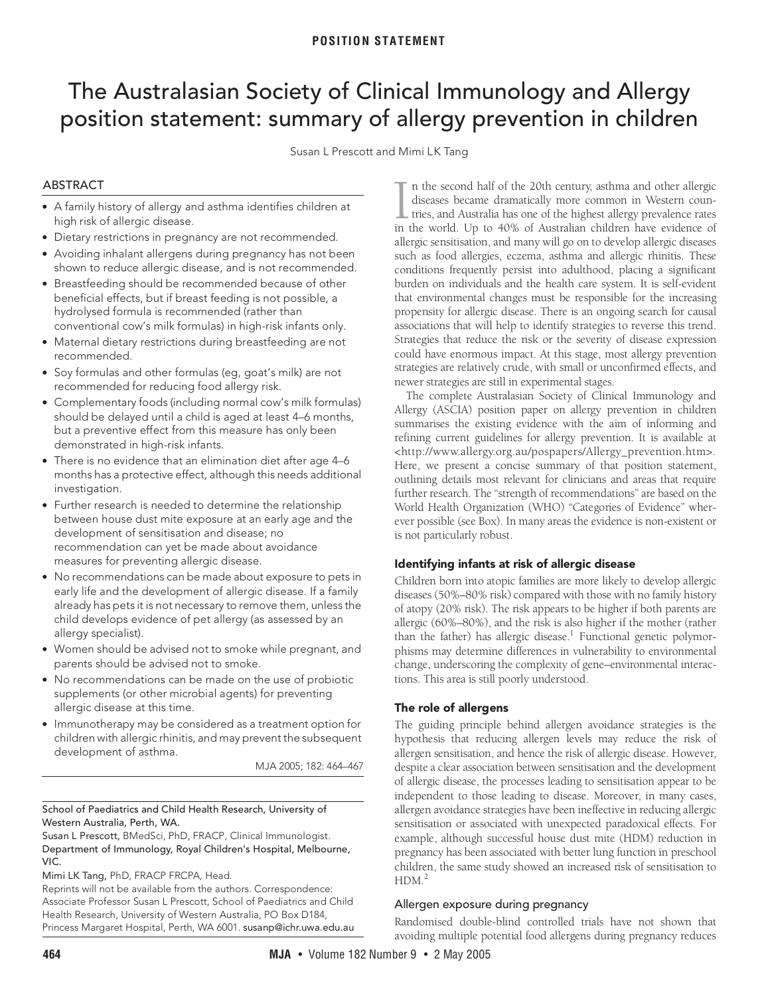# <span id="page-0-0"></span>The Australasian Society of Clinical Immunology and Allergy position statement: summary of allergy prevention in children

Susan L Prescott and Mimi LK Tang

# ABSTRACT

- **•** A family history of allergy and asthma identifies children at high risk of allergic disease.
- **•** Dietary restrictions in pregnancy are not recommended.
- **•** Avoiding inhalant allergens during pregnancy has not been shown to reduce allergic disease, and is not recommended.
- **•** Breastfeeding should be recommended because of other beneficial effects, but if breast feeding is not possible, a hydrolysed formula is recommended (rather than conventional cow's milk formulas) in high-risk infants only.
- **•** Maternal dietary restrictions during breastfeeding are not recommended.
- **•** Soy formulas and other formulas (eg, goat's milk) are not recommended for reducing food allergy risk.
- **•** Complementary foods (including normal cow's milk formulas) should be delayed until a child is aged at least 4–6 months, but a preventive effect from this measure has only been demonstrated in high-risk infants.
- **•** There is no evidence that an elimination diet after age 4–6 months has a protective effect, although this needs additional investigation.
- **•** Further research is needed to determine the relationship between house dust mite exposure at an early age and the development of sensitisation and disease; no recommendation can yet be made about avoidance measures for preventing allergic disease.
- **•** No recommendations can be made about exposure to pets in early life and the development of allergic disease. If a family already has pets it is not necessary to remove them, unless the child develops evidence of pet allergy (as assessed by an allergy specialist).
- **•** Women should be advised not to smoke while pregnant, and parents should be advised not to smoke.
- **•** No recommendations can be made on the use of probiotic supplements (or other microbial agents) for preventing allergic disease at this time.
- **•** Immunotherapy may be considered as a treatment option for children with allergic rhinitis, and may prevent the subsequent development of asthma.

MJA 2005; 182: 464–467

# School of Paediatrics and Child Health Research, University of Western Australia, Perth, WA.

Susan L Prescott, BMedSci, PhD, FRACP, Clinical Immunologist. Department of Immunology, Royal Children's Hospital, Melbourne, VIC.

Mimi LK Tang, PhD, FRACP FRCPA, Head.

Reprints will not be available from the authors. Correspondence: Associate Professor Susan L Prescott, School of Paediatrics and Child Health Research, University of Western Australia, PO Box D184, Princess Margaret Hospital, Perth, WA 6001. susanp@ichr.uwa.edu.au

that environmental changes must be responsible for the increasing  $\alpha$  aneigic disease. There is an onge associations that will help to identify strategies to reverse this trend. Strategies that reduce the risk or the severity of disease expression could have enormous impact. At this stage, most allergy prevention n the second half of the 20th century, asthma and other allergic diseases became dramatically more common in Western countries, and Australia has one of the highest allergy prevalence rates In the second half of the 20th century, asthma and other allergic diseases became dramatically more common in Western countries, and Australia has one of the highest allergy prevalence rates in the world. Up to 40% of Aust allergic sensitisation, and many will go on to develop allergic diseases such as food allergies, eczema, asthma and allergic rhinitis. These conditions frequently persist into adulthood, placing a significant burden on individuals and the health care system. It is self-evident propensity for allergic disease. There is [an](#page-0-0) [ongo](#page-3-0)ing search for causal strategies are relatively crude, with small or unconfirmed effects, and newer strategies are still in experimental stages.

The complete Australasian Society of Clinical Immunology and Allergy (ASCIA) position paper on allergy prevention in children summarises the existing evidence with the aim of informing and refining current guidelines for allergy prevention. It is available at <http://www.allergy.org.au/pospapers/Allergy\_prevention.htm>. Here, we present a concise summary of that position statement, outlining details most relevant for clinicians and areas that require further research. The "strength of recommendations" are based on the World Health Organization (WHO) "Categories of Evidence" wherever possible (see [Box\)](#page-1-0). In many areas the evidence is non-existent or is not particularly robust.

# **Identifying infants at risk of allergic disease**

Children born into atopic families are more likely to develop allergic diseases (50%–80% risk) compared with those with no family history of atopy (20% risk). The risk appears to be higher if both parents are allergic (60%–80%), and the risk is also higher if the mother (rather than the father) has allergic disease.<sup>1</sup> Functional genetic polymorphisms may determine differences in vulnerability to environmental change, underscoring the complexity of gene–environmental interactions. This area is still poorly understood.

# **The role of allergens**

The guiding principle behind allergen avoidance strategies is the hypothesis that reducing allergen levels may reduce the risk of allergen sensitisation, and hence the risk of allergic disease. However, despite a clear association between sensitisation and the development of allergic disease, the processes leading to sensitisation appear to be independent to those leading to disease. Moreover, in many cases, allergen avoidance strategies have been ineffective in reducing allergic sensitisation or associated with unexpected paradoxical effects. For example, although successful house dust mite (HDM) reduction in pregnancy has been associated with better lung function in preschool children, the same study showed an increased risk of sensitisation to  $HDM<sup>2</sup>$ 

# Allergen exposure during pregnancy

Randomised double-blind controlled trials have not shown that avoiding multiple potential food allergens during pregnancy reduces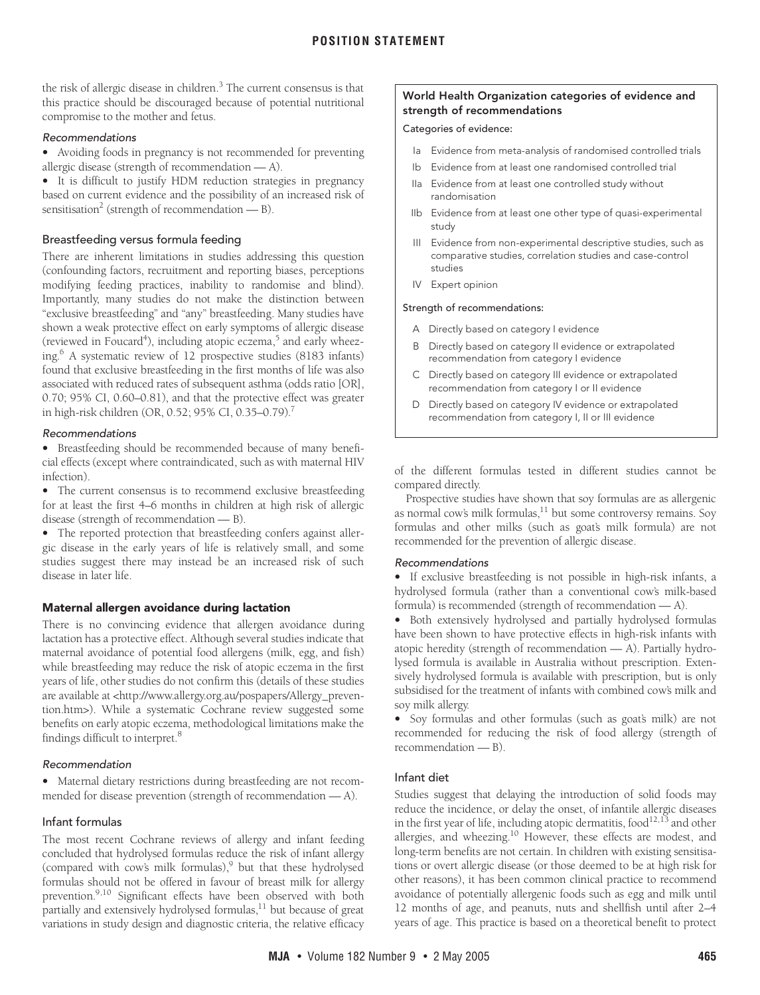the risk of allergic disease in children. $^3$  The current consensus is that this practice should be discouraged because of potential nutritional compromise to the mother and fetus.

## Recommendations

**•** Avoiding foods in pregnancy is not recommended for preventing allergic disease (strength of recommendation — A).

**•** It is difficult to justify HDM reduction strategies in pregnancy based on current evidence and the possibility of an increased risk of sensitisation<sup>[2](#page-3-2)</sup> (strength of recommendation  $-$  B).

# Breastfeeding versus formula feeding

There are inherent limitations in studies addressing this question (confounding factors, recruitment and reporting biases, perceptions modifying feeding practices, inability to randomise and blind). Importantly, many studies do not make the distinction between "exclusive breastfeeding" and "any" breastfeeding. Many studies have shown a weak protective effect on early symptoms of allergic disease (reviewed in Foucard<sup>4</sup>), including atopic eczema,<sup>[5](#page-3-5)</sup> and early wheezing[.6](#page-3-6) A systematic review of 12 prospective studies (8183 infants) found that exclusive breastfeeding in the first months of life was also associated with reduced rates of subsequent asthma (odds ratio [OR], 0.70; 95% CI, 0.60–0.81), and that the protective effect was greater in high-risk children (OR, 0.52; 95% CI, 0.35–0.79)[.7](#page-3-7)

#### Recommendations

**•** Breastfeeding should be recommended because of many beneficial effects (except where contraindicated, such as with maternal HIV infection).

**•** The current consensus is to recommend exclusive breastfeeding for at least the first 4–6 months in children at high risk of allergic disease (strength of recommendation — B).

**•** The reported protection that breastfeeding confers against allergic disease in the early years of life is relatively small, and some studies suggest there may instead be an increased risk of such disease in later life.

# **Maternal allergen avoidance during lactation**

There is no convincing evidence that allergen avoidance during lactation has a protective effect. Although several studies indicate that maternal avoidance of potential food allergens (milk, egg, and fish) while breastfeeding may reduce the risk of atopic eczema in the first years of life, other studies do not confirm this (details of these studies are available at <http://www.allergy.org.au/pospapers/Allergy\_prevention.htm>). While a systematic Cochrane review suggested some benefits on early atopic eczema, methodological limitations make the findings difficult to interpret[.8](#page-3-8)

# Recommendation

**•** Maternal dietary restrictions during breastfeeding are not recommended for disease prevention (strength of recommendation — A).

# Infant formulas

The most recent Cochrane reviews of allergy and infant feeding concluded that hydrolysed formulas reduce the risk of infant allergy (compared with cow's milk formulas),<sup>9</sup> but that these hydrolysed formulas should not be offered in favour of breast milk for allergy prevention.<sup>9[,10](#page-3-10)</sup> Significant effects have been observed with both partially and extensively hydrolysed formulas,<sup>11</sup> but because of great variations in study design and diagnostic criteria, the relative efficacy

### <span id="page-1-0"></span>**World Health Organization categories of evidence and strength of recommendations**

#### Categories of evidence:

- Ia Evidence from meta-analysis of randomised controlled trials
- Ib Evidence from at least one randomised controlled trial
- IIa Evidence from at least one controlled study without randomisation
- IIb Evidence from at least one other type of quasi-experimental study
- III Evidence from non-experimental descriptive studies, such as comparative studies, correlation studies and case-control studies
- IV Expert opinion

#### Strength of recommendations:

- A Directly based on category I evidence
- B Directly based on category II evidence or extrapolated recommendation from category I evidence
- C Directly based on category III evidence or extrapolated recommendation from category I or II evidence
- D Directly based on category IV evidence or extrapolated recommendation from category I, II or III evidence

of the different formulas tested in different studies cannot be compared directly.

Prospective studies have shown that soy formulas are as allergenic as normal cow's milk formulas, $^{11}$  but some controversy remains. Soy formulas and other milks (such as goat's milk formula) are not recommended for the prevention of allergic disease.

#### Recommendations

**•** If exclusive breastfeeding is not possible in high-risk infants, a hydrolysed formula (rather than a conventional cow's milk-based formula) is recommended (strength of recommendation — A).

**•** Both extensively hydrolysed and partially hydrolysed formulas have been shown to have protective effects in high-risk infants with atopic heredity (strength of recommendation — A). Partially hydrolysed formula is available in Australia without prescription. Extensively hydrolysed formula is available with prescription, but is only subsidised for the treatment of infants with combined cow's milk and soy milk allergy.

• Soy formulas and other formulas (such as goat's milk) are not recommended for reducing the risk of food allergy (strength of recommendation — B).

# Infant diet

Studies suggest that delaying the introduction of solid foods may reduce the incidence, or delay the onset, of infantile allergic diseases in the first year of life, including atopic dermatitis, food $^{12,13}$  $^{12,13}$  $^{12,13}$  and other allergies, and wheezing.<sup>10</sup> However, these effects are modest, and long-term benefits are not certain. In children with existing sensitisations or overt allergic disease (or those deemed to be at high risk for other reasons), it has been common clinical practice to recommend avoidance of potentially allergenic foods such as egg and milk until 12 months of age, and peanuts, nuts and shellfish until after 2–4 years of age. This practice is based on a theoretical benefit to protect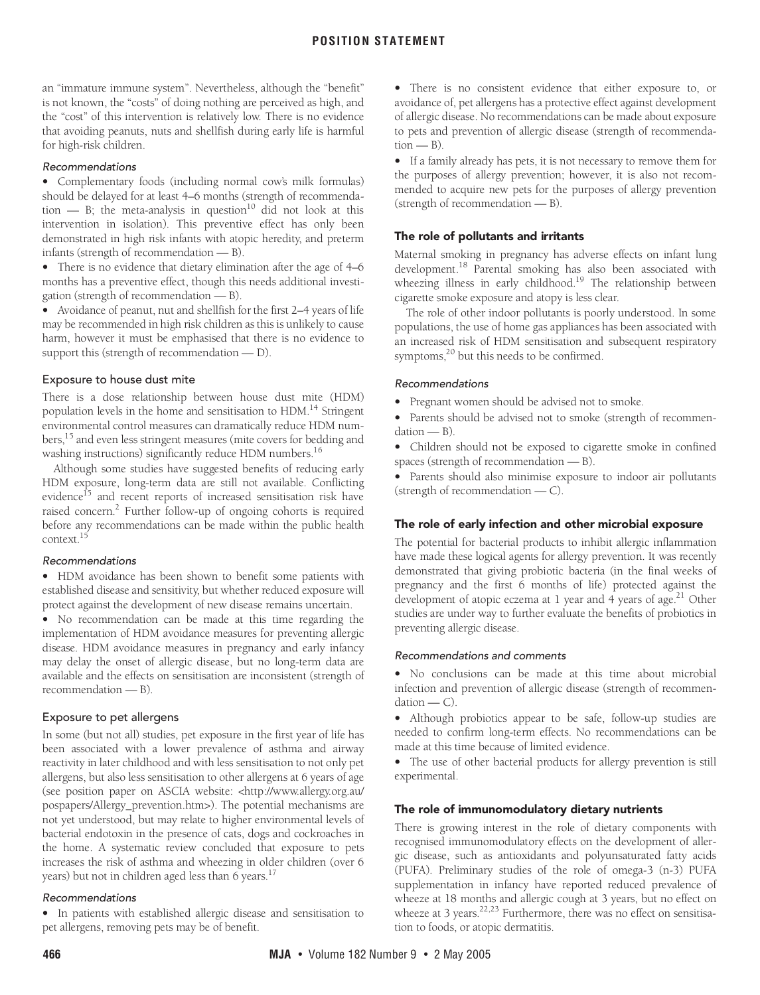an "immature immune system". Nevertheless, although the "benefit" is not known, the "costs" of doing nothing are perceived as high, and the "cost" of this intervention is relatively low. There is no evidence that avoiding peanuts, nuts and shellfish during early life is harmful for high-risk children.

#### Recommendations

**•** Complementary foods (including normal cow's milk formulas) should be delayed for at least 4–6 months (strength of recommendation  $-$  B; the meta-analysis in question<sup>10</sup> did not look at this intervention in isolation). This preventive effect has only been demonstrated in high risk infants with atopic heredity, and preterm infants (strength of recommendation — B).

**•** There is no evidence that dietary elimination after the age of 4–6 months has a preventive effect, though this needs additional investigation (strength of recommendation — B).

**•** Avoidance of peanut, nut and shellfish for the first 2–4 years of life may be recommended in high risk children as this is unlikely to cause harm, however it must be emphasised that there is no evidence to support this (strength of recommendation — D).

#### Exposure to house dust mite

There is a dose relationship between house dust mite (HDM) population levels in the home and sensitisation to HDM[.14](#page-3-14) Stringent environmental control measures can dramatically reduce HDM numbers,[15](#page-3-15) and even less stringent measures (mite covers for bedding and washing instructions) significantly reduce HDM numbers.<sup>[16](#page-3-16)</sup>

Although some studies have suggested benefits of reducing early HDM exposure, long-term data are still not available. Conflicting evidence<sup>15</sup> and recent reports of increased sensitisation risk have raised concern.<sup>2</sup> Further follow-up of ongoing cohorts is required before any recommendations can be made within the public health context[.15](#page-3-15)

#### Recommendations

**•** HDM avoidance has been shown to benefit some patients with established disease and sensitivity, but whether reduced exposure will protect against the development of new disease remains uncertain.

**•** No recommendation can be made at this time regarding the implementation of HDM avoidance measures for preventing allergic disease. HDM avoidance measures in pregnancy and early infancy may delay the onset of allergic disease, but no long-term data are available and the effects on sensitisation are inconsistent (strength of recommendation — B).

# Exposure to pet allergens

In some (but not all) studies, pet exposure in the first year of life has been associated with a lower prevalence of asthma and airway reactivity in later childhood and with less sensitisation to not only pet allergens, but also less sensitisation to other allergens at 6 years of age (see position paper on ASCIA website: <http://www.allergy.org.au/ pospapers/Allergy\_prevention.htm>). The potential mechanisms are not yet understood, but may relate to higher environmental levels of bacterial endotoxin in the presence of cats, dogs and cockroaches in the home. A systematic review concluded that exposure to pets increases the risk of asthma and wheezing in older children (over 6 years) but not in children aged less than 6 years.<sup>17</sup>

# Recommendations

**•** In patients with established allergic disease and sensitisation to pet allergens, removing pets may be of benefit.

**•** There is no consistent evidence that either exposure to, or avoidance of, pet allergens has a protective effect against development of allergic disease. No recommendations can be made about exposure to pets and prevention of allergic disease (strength of recommenda $tion - B$ ).

**•** If a family already has pets, it is not necessary to remove them for the purposes of allergy prevention; however, it is also not recommended to acquire new pets for the purposes of allergy prevention (strength of recommendation — B).

# **The role of pollutants and irritants**

Maternal smoking in pregnancy has adverse effects on infant lung development.<sup>18</sup> Parental smoking has also been associated with wheezing illness in early childhood.<sup>19</sup> The relationship between cigarette smoke exposure and atopy is less clear.

The role of other indoor pollutants is poorly understood. In some populations, the use of home gas appliances has been associated with an increased risk of HDM sensitisation and subsequent respiratory symptoms,<sup>20</sup> but this needs to be confirmed.

# Recommendations

**•** Pregnant women should be advised not to smoke.

**•** Parents should be advised not to smoke (strength of recommendation — B).

**•** Children should not be exposed to cigarette smoke in confined spaces (strength of recommendation — B).

**•** Parents should also minimise exposure to indoor air pollutants (strength of recommendation — C).

# **The role of early infection and other microbial exposure**

The potential for bacterial products to inhibit allergic inflammation have made these logical agents for allergy prevention. It was recently demonstrated that giving probiotic bacteria (in the final weeks of pregnancy and the first 6 months of life) protected against the development of atopic eczema at 1 year and 4 years of age.<sup>21</sup> Other studies are under way to further evaluate the benefits of probiotics in preventing allergic disease.

# Recommendations and comments

**•** No conclusions can be made at this time about microbial infection and prevention of allergic disease (strength of recommendation — C).

**•** Although probiotics appear to be safe, follow-up studies are needed to confirm long-term effects. No recommendations can be made at this time because of limited evidence.

**•** The use of other bacterial products for allergy prevention is still experimental.

# **The role of immunomodulatory dietary nutrients**

There is growing interest in the role of dietary components with recognised immunomodulatory effects on the development of allergic disease, such as antioxidants and polyunsaturated fatty acids (PUFA). Preliminary studies of the role of omega-3 (n-3) PUFA supplementation in infancy have reported reduced prevalence of wheeze at 18 months and allergic cough at 3 years, but no effect on wheeze at 3 years.<sup>[22,](#page-3-22)[23](#page-3-23)</sup> Furthermore, there was no effect on sensitisation to foods, or atopic dermatitis.